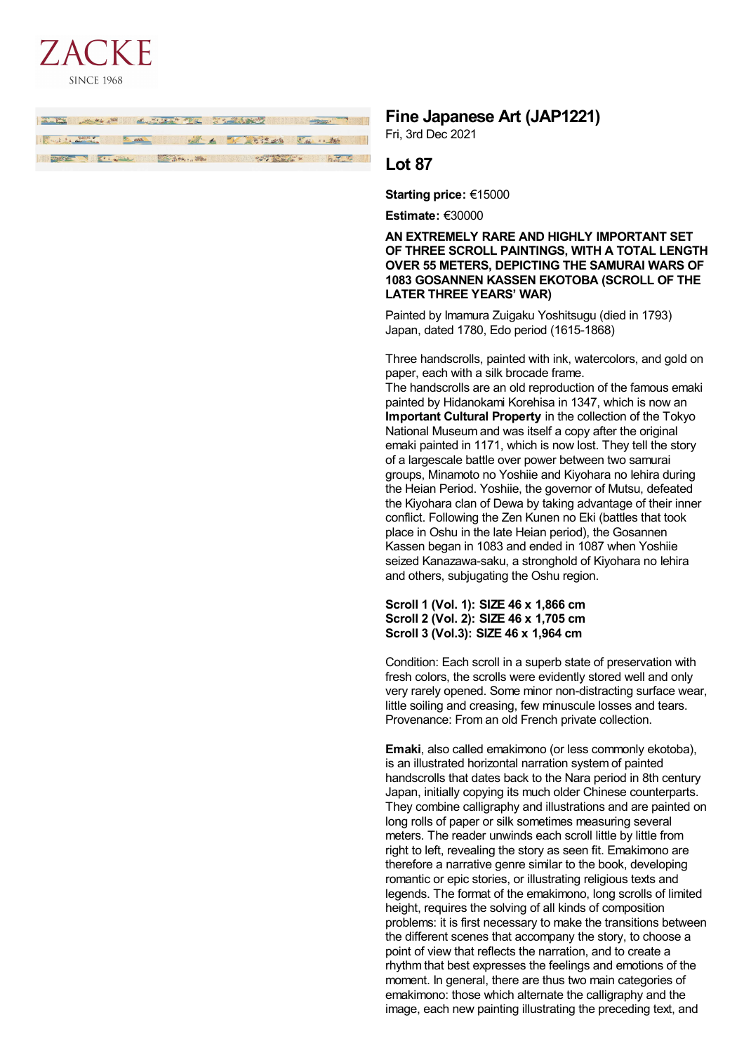

| <b>TARK THE SEAR REPORT OF THE TIME AND THE STATE OF THE SEARCH AND THE SEARCH OF THE SEARCH OF THE SEARCH OF THE SEARCH OF THE SEARCH OF THE SEARCH OF THE SEARCH OF THE SEARCH OF THE SEARCH OF THE SEARCH OF THE SEARCH OF TH</b> |  |
|--------------------------------------------------------------------------------------------------------------------------------------------------------------------------------------------------------------------------------------|--|
| I will be a search of the state of the state of the state of the state of the state of the state of the state of the state of the state of the state of the state of the state of the state of the state of the state of the s       |  |
| <b>ALL AND CONTRACT OF A CONTRACT OF A CONTRACT OF A CONTRACT OF A CONTRACT OF A CONTRACT OF A CONTRACT OF A CONTRACT OF A CONTRACT OF A CONTRACT OF A CONTRACT OF A CONTRACT OF A CONTRACT OF A CONTRACT OF A CONTRACT OF A CON</b> |  |
|                                                                                                                                                                                                                                      |  |

# **Fine Japanese Art (JAP1221)**

Fri, 3rd Dec 2021

# **Lot 87**

**Starting price:** €15000

**Estimate:** €30000

**AN EXTREMELY RARE AND HIGHLY IMPORTANT SET OF THREE SCROLL PAINTINGS, WITH A TOTAL LENGTH OVER 55 METERS, DEPICTING THE SAMURAI WARS OF 1083 GOSANNEN KASSEN EKOTOBA (SCROLL OF THE LATER THREE YEARS' WAR)**

Painted by Imamura Zuigaku Yoshitsugu (died in 1793) Japan, dated 1780, Edo period (1615-1868)

Three handscrolls, painted with ink, watercolors, and gold on paper, each with a silk brocade frame.

The handscrolls are an old reproduction of the famous emaki painted by Hidanokami Korehisa in 1347, which is now an **Important Cultural Property** in the collection of the Tokyo National Museum and was itself a copy after the original emaki painted in 1171, which is now lost. They tell the story of a largescale battle over power between two samurai groups, Minamoto no Yoshiie and Kiyohara no Iehira during the Heian Period. Yoshiie, the governor of Mutsu, defeated the Kiyohara clan of Dewa by taking advantage of their inner conflict. Following the Zen Kunen no Eki (battles that took place in Oshu in the late Heian period), the Gosannen Kassen began in 1083 and ended in 1087 when Yoshiie seized Kanazawa-saku, a stronghold of Kiyohara no Iehira and others, subjugating the Oshu region.

**Scroll 1 (Vol. 1): SIZE 46 x 1,866 cm Scroll 2 (Vol. 2): SIZE 46 x 1,705 cm Scroll 3 (Vol.3): SIZE 46 x 1,964 cm**

Condition: Each scroll in a superb state of preservation with fresh colors, the scrolls were evidently stored well and only very rarely opened. Some minor non-distracting surface wear, little soiling and creasing, few minuscule losses and tears. Provenance: From an old French private collection.

**Emaki**, also called emakimono (or less commonly ekotoba), is an illustrated horizontal narration system of painted handscrolls that dates back to the Nara period in 8th century Japan, initially copying its much older Chinese counterparts. They combine calligraphy and illustrations and are painted on long rolls of paper or silk sometimes measuring several meters. The reader unwinds each scroll little by little from right to left, revealing the story as seen fit. Emakimono are therefore a narrative genre similar to the book, developing romantic or epic stories, or illustrating religious texts and legends. The format of the emakimono, long scrolls of limited height, requires the solving of all kinds of composition problems: it is first necessary to make the transitions between the different scenes that accompany the story, to choose a point of view that reflects the narration, and to create a rhythm that best expresses the feelings and emotions of the moment. In general, there are thus two main categories of emakimono: those which alternate the calligraphy and the image, each new painting illustrating the preceding text, and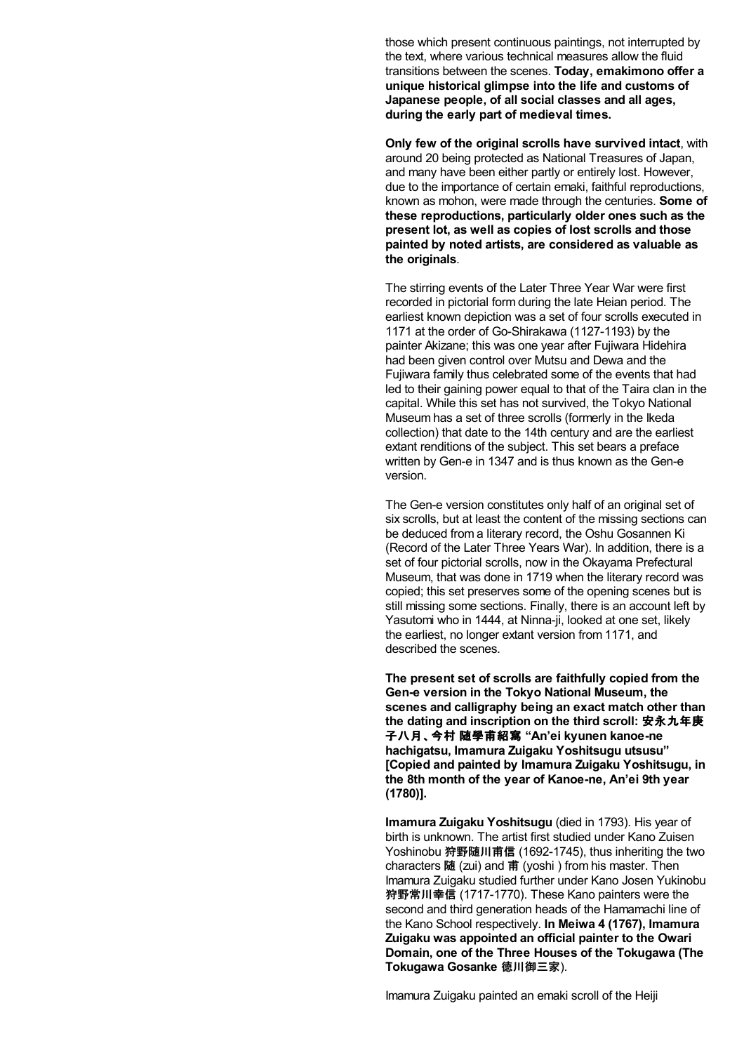those which present continuous paintings, not interrupted by the text, where various technical measures allow the fluid transitions between the scenes. **Today, emakimono offer a unique historical glimpse into the life and customs of Japanese people, of all social classes and all ages, during the early part of medieval times.**

**Only few of the original scrolls have survived intact**, with around 20 being protected as National Treasures of Japan, and many have been either partly or entirely lost. However, due to the importance of certain emaki, faithful reproductions, known as mohon, were made through the centuries. **Some of these reproductions, particularly older ones such as the present lot, as well as copies of lost scrolls and those painted by noted artists, are considered as valuable as the originals**.

The stirring events of the Later Three Year War were first recorded in pictorial form during the late Heian period. The earliest known depiction was a set of four scrolls executed in 1171 at the order of Go-Shirakawa (1127-1193) by the painter Akizane; this was one year after Fujiwara Hidehira had been given control over Mutsu and Dewa and the Fujiwara family thus celebrated some of the events that had led to their gaining power equal to that of the Taira clan in the capital. While this set has not survived, the Tokyo National Museum has a set of three scrolls (formerly in the Ikeda collection) that date to the 14th century and are the earliest extant renditions of the subject. This set bears a preface written by Gen-e in 1347 and is thus known as the Gen-e version.

The Gen-e version constitutes only half of an original set of six scrolls, but at least the content of the missing sections can be deduced from a literary record, the Oshu Gosannen Ki (Record of the Later Three Years War). In addition, there is a set of four pictorial scrolls, now in the Okayama Prefectural Museum, that was done in 1719 when the literary record was copied; this set preserves some of the opening scenes but is still missing some sections. Finally, there is an account left by Yasutomi who in 1444, at Ninna-ji, looked at one set, likely the earliest, no longer extant version from 1171, and described the scenes.

**The present set of scrolls are faithfully copied from the Gen-e version in the Tokyo National Museum, the scenes and calligraphy being an exact match other than the dating and inscription on the third scroll:** 安永九年庚 子八月、今村 随學甫紹寫 **"An'ei kyunen kanoe-ne hachigatsu, Imamura Zuigaku Yoshitsugu utsusu" [Copied and painted by Imamura Zuigaku Yoshitsugu, in the 8th month of the year of Kanoe-ne, An'ei 9th year (1780)].**

**Imamura Zuigaku Yoshitsugu** (died in 1793). His year of birth is unknown. The artist first studied under Kano Zuisen Yoshinobu 狩野随川甫信 (1692-1745), thus inheriting the two characters 随 (zui) and 甫 (yoshi) from his master. Then Imamura Zuigaku studied further under Kano Josen Yukinobu 狩野常川幸信 (1717-1770). These Kano painters were the second and third generation heads of the Hamamachi line of the Kano School respectively. **In Meiwa 4 (1767), Imamura Zuigaku was appointed an official painter to the Owari Domain, one of the Three Houses of the Tokugawa (The Tokugawa Gosanke** 徳川御三家).

Imamura Zuigaku painted an emaki scroll of the Heiji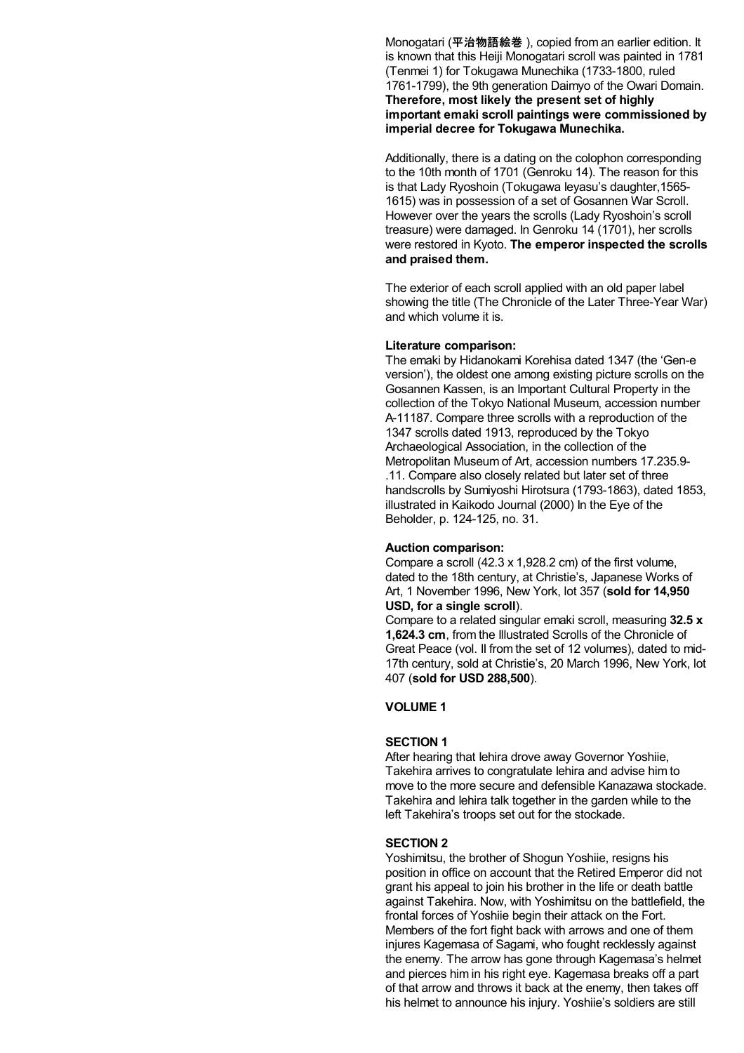Monogatari (平治物語絵巻 ), copied from an earlier edition. It is known that this Heiji Monogatari scroll was painted in 1781 (Tenmei 1) for Tokugawa Munechika (1733-1800, ruled 1761-1799), the 9th generation Daimyo of the Owari Domain. **Therefore, most likely the present set of highly important emaki scroll paintings were commissioned by imperial decree for Tokugawa Munechika.**

Additionally, there is a dating on the colophon corresponding to the 10th month of 1701 (Genroku 14). The reason for this is that Lady Ryoshoin (Tokugawa Ieyasu's daughter,1565- 1615) was in possession of a set of Gosannen War Scroll. However over the years the scrolls (Lady Ryoshoin's scroll treasure) were damaged. In Genroku 14 (1701), her scrolls were restored in Kyoto. **The emperor inspected the scrolls and praised them.**

The exterior of each scroll applied with an old paper label showing the title (The Chronicle of the Later Three-Year War) and which volume it is.

#### **Literature comparison:**

The emaki by Hidanokami Korehisa dated 1347 (the 'Gen-e version'), the oldest one among existing picture scrolls on the Gosannen Kassen, is an Important Cultural Property in the collection of the Tokyo National Museum, accession number A-11187. Compare three scrolls with a reproduction of the 1347 scrolls dated 1913, reproduced by the Tokyo Archaeological Association, in the collection of the Metropolitan Museum of Art, accession numbers 17.235.9- .11. Compare also closely related but later set of three handscrolls by Sumiyoshi Hirotsura (1793-1863), dated 1853, illustrated in Kaikodo Journal (2000) In the Eye of the Beholder, p. 124-125, no. 31.

#### **Auction comparison:**

Compare a scroll (42.3 x 1,928.2 cm) of the first volume, dated to the 18th century, at Christie's, Japanese Works of Art, 1 November 1996, New York, lot 357 (**sold for 14,950 USD, for a single scroll**).

Compare to a related singular emaki scroll, measuring **32.5 x 1,624.3 cm**, from the Illustrated Scrolls of the Chronicle of Great Peace (vol. II from the set of 12 volumes), dated to mid-17th century, sold at Christie's, 20 March 1996, New York, lot 407 (**sold for USD 288,500**).

### **VOLUME 1**

#### **SECTION 1**

After hearing that Iehira drove away Governor Yoshiie, Takehira arrives to congratulate Iehira and advise him to move to the more secure and defensible Kanazawa stockade. Takehira and Iehira talk together in the garden while to the left Takehira's troops set out for the stockade.

#### **SECTION 2**

Yoshimitsu, the brother of Shogun Yoshiie, resigns his position in office on account that the Retired Emperor did not grant his appeal to join his brother in the life or death battle against Takehira. Now, with Yoshimitsu on the battlefield, the frontal forces of Yoshiie begin their attack on the Fort. Members of the fort fight back with arrows and one of them injures Kagemasa of Sagami, who fought recklessly against the enemy. The arrow has gone through Kagemasa's helmet and pierces him in his right eye. Kagemasa breaks off a part of that arrow and throws it back at the enemy, then takes off his helmet to announce his injury. Yoshiie's soldiers are still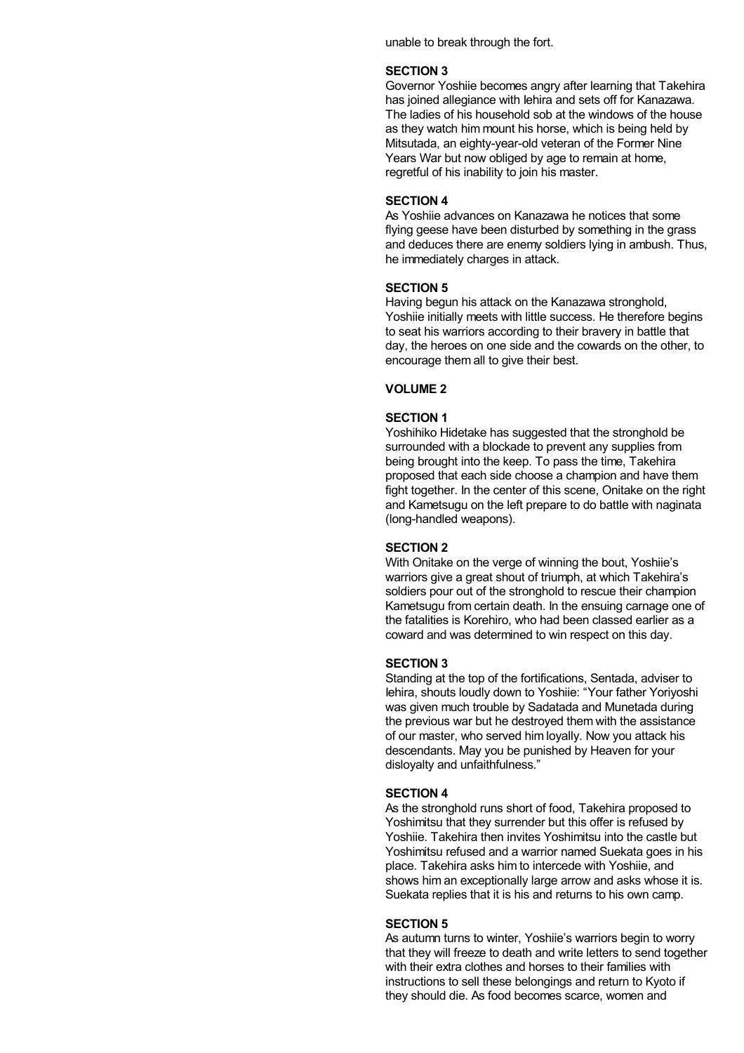unable to break through the fort.

#### **SECTION 3**

Governor Yoshiie becomes angry after learning that Takehira has joined allegiance with Iehira and sets off for Kanazawa. The ladies of his household sob at the windows of the house as they watch him mount his horse, which is being held by Mitsutada, an eighty-year-old veteran of the Former Nine Years War but now obliged by age to remain at home, regretful of his inability to join his master.

### **SECTION 4**

As Yoshiie advances on Kanazawa he notices that some flying geese have been disturbed by something in the grass and deduces there are enemy soldiers lying in ambush. Thus, he immediately charges in attack.

#### **SECTION 5**

Having begun his attack on the Kanazawa stronghold, Yoshiie initially meets with little success. He therefore begins to seat his warriors according to their bravery in battle that day, the heroes on one side and the cowards on the other, to encourage them all to give their best.

### **VOLUME 2**

### **SECTION 1**

Yoshihiko Hidetake has suggested that the stronghold be surrounded with a blockade to prevent any supplies from being brought into the keep. To pass the time, Takehira proposed that each side choose a champion and have them fight together. In the center of this scene, Onitake on the right and Kametsugu on the left prepare to do battle with naginata (long-handled weapons).

#### **SECTION 2**

With Onitake on the verge of winning the bout, Yoshiie's warriors give a great shout of triumph, at which Takehira's soldiers pour out of the stronghold to rescue their champion Kametsugu from certain death. In the ensuing carnage one of the fatalities is Korehiro, who had been classed earlier as a coward and was determined to win respect on this day.

#### **SECTION 3**

Standing at the top of the fortifications, Sentada, adviser to Iehira, shouts loudly down to Yoshiie: "Your father Yoriyoshi was given much trouble by Sadatada and Munetada during the previous war but he destroyed them with the assistance of our master, who served him loyally. Now you attack his descendants. May you be punished by Heaven for your disloyalty and unfaithfulness."

#### **SECTION 4**

As the stronghold runs short of food, Takehira proposed to Yoshimitsu that they surrender but this offer is refused by Yoshiie. Takehira then invites Yoshimitsu into the castle but Yoshimitsu refused and a warrior named Suekata goes in his place. Takehira asks him to intercede with Yoshiie, and shows him an exceptionally large arrow and asks whose it is. Suekata replies that it is his and returns to his own camp.

#### **SECTION 5**

As autumn turns to winter, Yoshiie's warriors begin to worry that they will freeze to death and write letters to send together with their extra clothes and horses to their families with instructions to sell these belongings and return to Kyoto if they should die. As food becomes scarce, women and